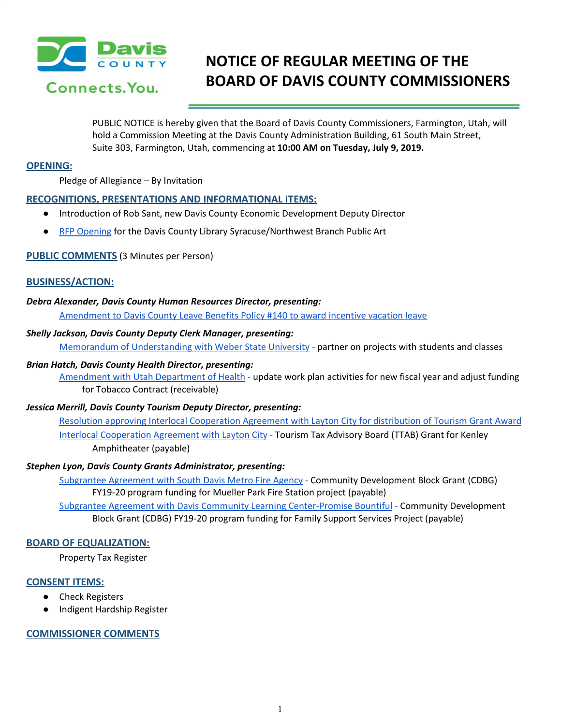

# **NOTICE OF REGULAR MEETING OF THE BOARD OF DAVIS COUNTY COMMISSIONERS**

PUBLIC NOTICE is hereby given that the Board of Davis County Commissioners, Farmington, Utah, will hold a Commission Meeting at the Davis County Administration Building, 61 South Main Street, Suite 303, Farmington, Utah, commencing at **10:00 AM on Tuesday, July 9, 2019.**

# **OPENING:**

Pledge of Allegiance – By Invitation

## **RECOGNITIONS, PRESENTATIONS AND INFORMATIONAL ITEMS:**

- Introduction of Rob Sant, new Davis County Economic Development Deputy Director
- RFP [Opening](https://drive.google.com/a/co.davis.ut.us/file/d/1PkFRim77BfJKNyxM1nZMG4M2aTfXEZ1g/view?usp=drivesdk) for the Davis County Library [Syracuse/Northwest](https://drive.google.com/a/co.davis.ut.us/file/d/1PkFRim77BfJKNyxM1nZMG4M2aTfXEZ1g/view?usp=drivesdk) Branch Public Art

## **PUBLIC COMMENTS** (3 Minutes per Person)

## **BUSINESS/ACTION:**

#### *Debra Alexander, Davis County Human Resources Director, presenting:*

[Amendment](https://drive.google.com/a/co.davis.ut.us/file/d/1yIQOsrW0VSWUEuNyM3ZLHSt3x-YUXJ98/view?usp=drivesdk) to Davis County Leave Benefits Policy #140 to award incentive vacation leave

#### *Shelly Jackson, Davis County Deputy Clerk Manager, presenting:*

Memorandum of [Understanding](https://drive.google.com/a/co.davis.ut.us/file/d/1d4E_ENZnqth_5lYtqsCJSQswLzsJfzl-/view?usp=drivesdk) with Weber State University [-](https://drive.google.com/a/co.davis.ut.us/file/d/1d4E_ENZnqth_5lYtqsCJSQswLzsJfzl-/view?usp=drivesdk) partner on projects with students and classes

#### *Brian Hatch, Davis County Health Director, presenting:*

[Amendment](https://drive.google.com/a/co.davis.ut.us/file/d/10aasKqA1Dv6n4ts1IYcKasx137bjhYsF/view?usp=drivesdk) with Utah Department of Health [-](https://drive.google.com/a/co.davis.ut.us/file/d/10aasKqA1Dv6n4ts1IYcKasx137bjhYsF/view?usp=drivesdk) update work plan activities for new fiscal year and adjust funding for Tobacco Contract (receivable)

# *Jessica Merrill, Davis County Tourism Deputy Director, presenting:*

Resolution approving Interlocal [Cooperation](https://drive.google.com/a/co.davis.ut.us/file/d/15DQmuvHxiQUF1Hd9Y2aa3JnhWu_DuSrP/view?usp=drivesdk) Agreement with Layton City for distribution of Tourism Grant Award Interlocal [Cooperation](https://drive.google.com/a/co.davis.ut.us/file/d/12OaMIWizgSUw-fgUXPQMov0mwtPJAidx/view?usp=drivesdk) Agreement with Layton City [-](https://drive.google.com/a/co.davis.ut.us/file/d/12OaMIWizgSUw-fgUXPQMov0mwtPJAidx/view?usp=drivesdk) Tourism Tax Advisory Board (TTAB) Grant for Kenley Amphitheater (payable)

#### *Stephen Lyon, Davis County Grants Administrator, presenting:*

[Subgrantee](https://drive.google.com/a/co.davis.ut.us/file/d/1v8ZVwRA87QwnrV1C-loUsuMPhJ0xaGbb/view?usp=drivesdk) Agreement with South Davis Metro Fire Agency [-](https://drive.google.com/a/co.davis.ut.us/file/d/1v8ZVwRA87QwnrV1C-loUsuMPhJ0xaGbb/view?usp=drivesdk) Community Development Block Grant (CDBG) FY19-20 program funding for Mueller Park Fire Station project (payable)

Subgrantee Agreement with Davis Community Learning [Center-Promise](https://drive.google.com/a/co.davis.ut.us/file/d/1pLZJ5s_LpqlskgScPLAZu10mMOStYQR9/view?usp=drivesdk) Bountiful [-](https://drive.google.com/a/co.davis.ut.us/file/d/1pLZJ5s_LpqlskgScPLAZu10mMOStYQR9/view?usp=drivesdk) Community Development Block Grant (CDBG) FY19-20 program funding for Family Support Services Project (payable)

#### **BOARD OF EQUALIZATION:**

Property Tax Register

#### **CONSENT ITEMS:**

- **Check Registers**
- Indigent Hardship Register

# **COMMISSIONER COMMENTS**